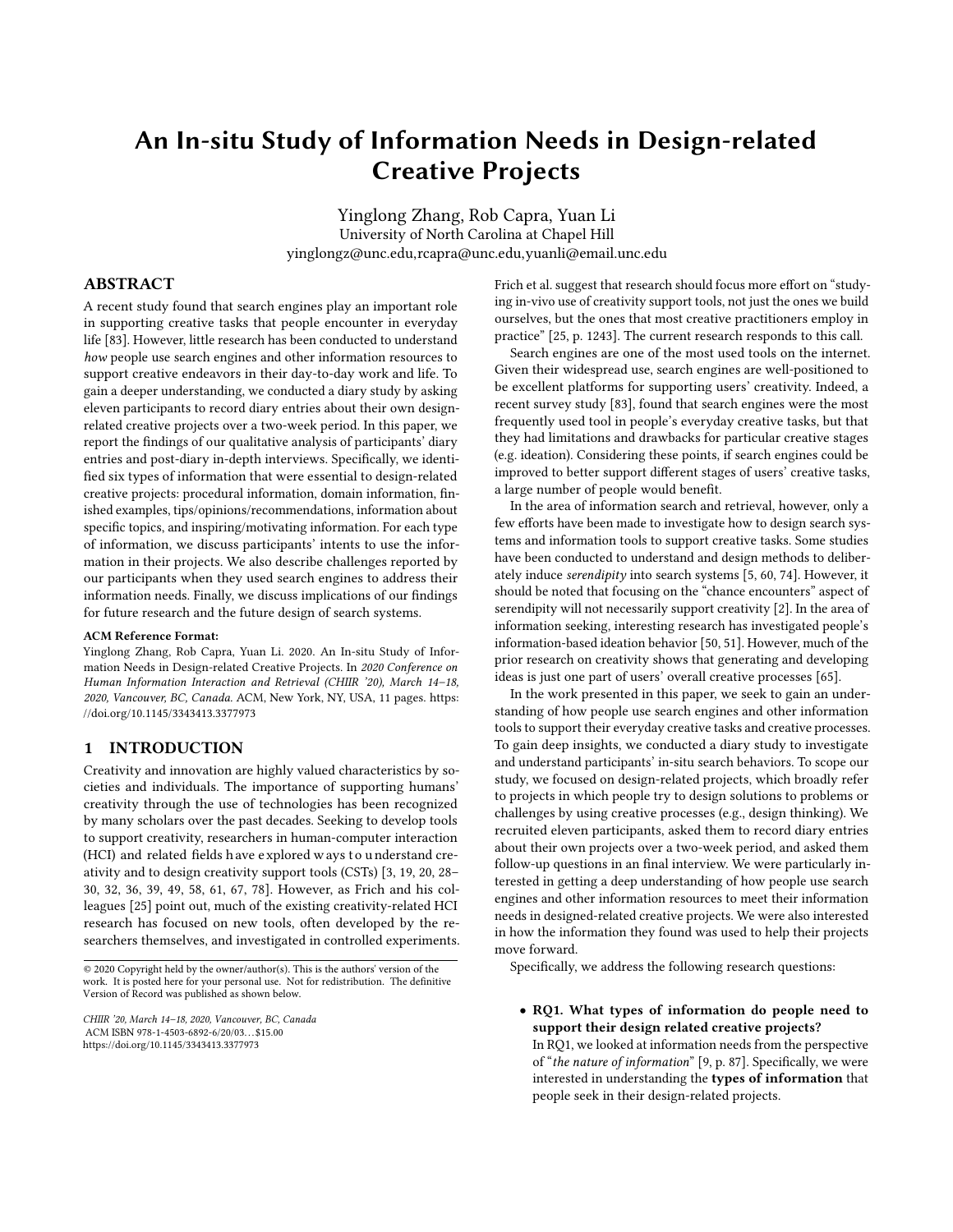# An In-situ Study of Information Needs in Design-related Creative Projects

Yinglong Zhang, Rob Capra, Yuan Li University of North Carolina at Chapel Hill yinglongz@unc.edu,rcapra@unc.edu,yuanli@email.unc.edu

# ABSTRACT

A recent study found that search engines play an important role in supporting creative tasks that people encounter in everyday life [\[83\].](#page-10-0) However, little research has been conducted to understand how people use search engines and other information resources to support creative endeavors in their day-to-day work and life. To gain a deeper understanding, we conducted a diary study by asking eleven participants to record diary entries about their own designrelated creative projects over a two-week period. In this paper, we report the findings of our qualitative analysis of participants' diary entries and post-diary in-depth interviews. Specifically, we identified six types of information that were essential to design-related creative projects: procedural information, domain information, finished examples, tips/opinions/recommendations, information about specific topics, and inspiring/motivating information. For each type of information, we discuss participants' intents to use the information in their projects. We also describe challenges reported by our participants when they used search engines to address their information needs. Finally, we discuss implications of our findings for future research and the future design of search systems.

#### ACM Reference Format:

Yinglong Zhang, Rob Capra, Yuan Li. 2020. An In-situ Study of Information Needs in Design-related Creative Projects. In 2020 Conference on Human Information Interaction and Retrieval (CHIIR '20), March 14–18, 2020, Vancouver, BC, Canada. ACM, New York, NY, USA, [11](#page-10-1) pages. [https:](https://doi.org/10.1145/3343413.3377973) [//doi.org/10.1145/3343413.3377973](https://doi.org/10.1145/3343413.3377973)

#### 1 INTRODUCTION

Creativity and innovation are highly valued characteristics by societies and individuals. The importance of supporting humans' creativity through the use of technologies has been recognized by many scholars over the past decades. Seeking to develop tools to support creativity, researchers in human-computer interaction (HCI) and related fields h ave explored w ays to understand creativity and to design creativity support tools (CSTs) [\[3,](#page-9-0) [19,](#page-9-1) [20,](#page-9-2) [28–](#page-9-3) [30,](#page-9-4) [32,](#page-9-5) [36,](#page-9-6) [39,](#page-9-7) [49,](#page-9-8) [58,](#page-9-9) [61,](#page-9-10) [67,](#page-10-2) [78\]](#page-10-3). However, as Frich and his colleagues [\[25\]](#page-9-11) point out, much of the existing creativity-related HCI research has focused on new tools, often developed by the researchers themselves, and investigated in controlled experiments.

© 2020 Copyright held by the owner/author(s). This is the authors' version of the work. It is posted here for your personal use. Not for redistribution. The definitive Version of Record was published as shown below.

CHIIR '20, March 14–18, 2020, Vancouver, BC, Canada ACM ISBN 978-1-4503-6892-6/20/03 \$15.00 <https://doi.org/10.1145/3343413.3377973>

Frich et al. suggest that research should focus more effort on "studying in-vivo use of creativity support tools, not just the ones we build ourselves, but the ones that most creative practitioners employ in practice" [\[25,](#page-9-11) p. 1243]. The current research responds to this call.

Search engines are one of the most used tools on the internet. Given their widespread use, search engines are well-positioned to be excellent platforms for supporting users' creativity. Indeed, a recent survey study [\[83\]](#page-10-0), found that search engines were the most frequently used tool in people's everyday creative tasks, but that they had limitations and drawbacks for particular creative stages (e.g. ideation). Considering these points, if search engines could be improved to better support different stages of users' creative tasks, a large number of people would benefit.

In the area of information search and retrieval, however, only a few efforts have been made to investigate how to design search systems and information tools to support creative tasks. Some studies have been conducted to understand and design methods to deliberately induce serendipity into search systems [\[5,](#page-9-12) [60,](#page-9-13) [74\]](#page-10-4). However, it should be noted that focusing on the "chance encounters" aspect of serendipity will not necessarily support creativity [\[2\]](#page-9-14). In the area of information seeking, interesting research has investigated people's information-based ideation behavior [\[50,](#page-9-15) [51\]](#page-9-16). However, much of the prior research on creativity shows that generating and developing ideas is just one part of users' overall creative processes [\[65\]](#page-10-5).

In the work presented in this paper, we seek to gain an understanding of how people use search engines and other information tools to support their everyday creative tasks and creative processes. To gain deep insights, we conducted a diary study to investigate and understand participants' in-situ search behaviors. To scope our study, we focused on design-related projects, which broadly refer to projects in which people try to design solutions to problems or challenges by using creative processes (e.g., design thinking). We recruited eleven participants, asked them to record diary entries about their own projects over a two-week period, and asked them follow-up questions in an final interview. We were particularly interested in getting a deep understanding of how people use search engines and other information resources to meet their information needs in designed-related creative projects. We were also interested in how the information they found was used to help their projects move forward.

Specifically, we address the following research questions:

• RQ1. What types of information do people need to support their design related creative projects?

In RQ1, we looked at information needs from the perspective of "the nature of information" [\[9,](#page-9-17) p. 87]. Specifically, we were interested in understanding the types of information that people seek in their design-related projects.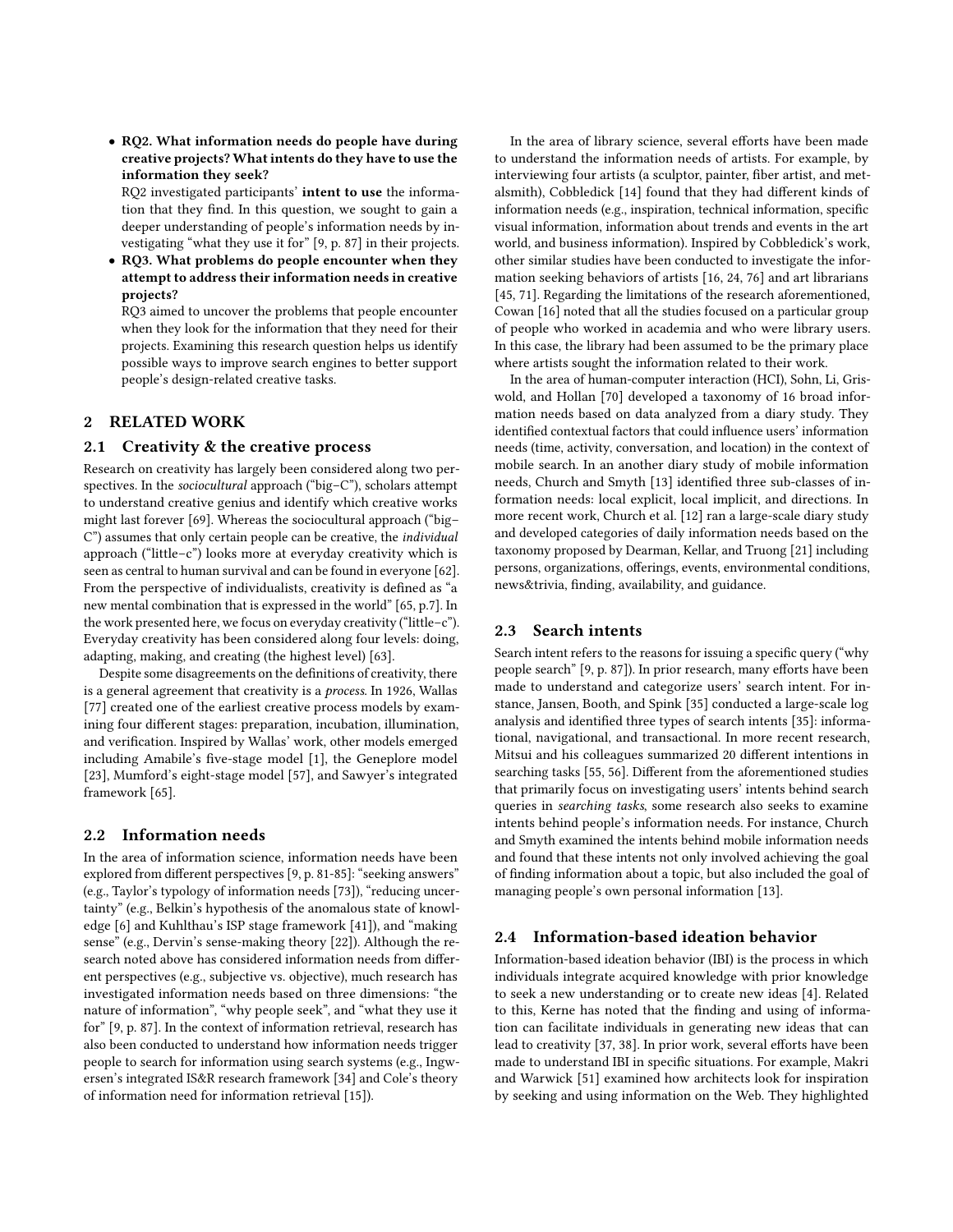• RQ2. What information needs do people have during creative projects? What intents do they have to use the information they seek?

RQ2 investigated participants' intent to use the information that they find. In this question, we sought to gain a deeper understanding of people's information needs by investigating "what they use it for" [\[9,](#page-9-17) p. 87] in their projects.

• RQ3. What problems do people encounter when they attempt to address their information needs in creative projects?

RQ3 aimed to uncover the problems that people encounter when they look for the information that they need for their projects. Examining this research question helps us identify possible ways to improve search engines to better support people's design-related creative tasks.

# 2 RELATED WORK

## 2.1 Creativity & the creative process

Research on creativity has largely been considered along two perspectives. In the *sociocultural* approach ("big-C"), scholars attempt to understand creative genius and identify which creative works might last forever [\[69\]](#page-10-6). Whereas the sociocultural approach ("big– C") assumes that only certain people can be creative, the individual approach ("little–c") looks more at everyday creativity which is seen as central to human survival and can be found in everyone [\[62\]](#page-10-7). From the perspective of individualists, creativity is defined as "a new mental combination that is expressed in the world" [\[65,](#page-10-5) p.7]. In the work presented here, we focus on everyday creativity ("little–c"). Everyday creativity has been considered along four levels: doing, adapting, making, and creating (the highest level) [\[63\]](#page-10-8).

Despite some disagreements on the definitions of creativity, there is a general agreement that creativity is a process. In 1926, Wallas [\[77\]](#page-10-9) created one of the earliest creative process models by examining four different stages: preparation, incubation, illumination, and verification. Inspired by Wallas' work, other models emerged including Amabile's five-stage model [\[1\]](#page-9-18), the Geneplore model [\[23\]](#page-9-19), Mumford's eight-stage model [\[57\]](#page-9-20), and Sawyer's integrated framework [\[65\]](#page-10-5).

# 2.2 Information needs

In the area of information science, information needs have been explored from different perspectives [\[9,](#page-9-17) p. 81-85]: "seeking answers" (e.g., Taylor's typology of information needs [\[73\]](#page-10-10)), "reducing uncertainty" (e.g., Belkin's hypothesis of the anomalous state of knowledge [\[6\]](#page-9-21) and Kuhlthau's ISP stage framework [\[41\]](#page-9-22)), and "making sense" (e.g., Dervin's sense-making theory [\[22\]](#page-9-23)). Although the research noted above has considered information needs from different perspectives (e.g., subjective vs. objective), much research has investigated information needs based on three dimensions: "the nature of information", "why people seek", and "what they use it for" [\[9,](#page-9-17) p. 87]. In the context of information retrieval, research has also been conducted to understand how information needs trigger people to search for information using search systems (e.g., Ingwersen's integrated IS&R research framework [\[34\]](#page-9-24) and Cole's theory of information need for information retrieval [\[15\]](#page-9-25)).

In the area of library science, several efforts have been made to understand the information needs of artists. For example, by interviewing four artists (a sculptor, painter, fiber artist, and metalsmith), Cobbledick [\[14\]](#page-9-26) found that they had different kinds of information needs (e.g., inspiration, technical information, specific visual information, information about trends and events in the art world, and business information). Inspired by Cobbledick's work, other similar studies have been conducted to investigate the information seeking behaviors of artists [\[16,](#page-9-27) [24,](#page-9-28) [76\]](#page-10-11) and art librarians [\[45,](#page-9-29) [71\]](#page-10-12). Regarding the limitations of the research aforementioned, Cowan [\[16\]](#page-9-27) noted that all the studies focused on a particular group of people who worked in academia and who were library users. In this case, the library had been assumed to be the primary place where artists sought the information related to their work.

In the area of human-computer interaction (HCI), Sohn, Li, Griswold, and Hollan [\[70\]](#page-10-13) developed a taxonomy of 16 broad information needs based on data analyzed from a diary study. They identified contextual factors that could influence users' information needs (time, activity, conversation, and location) in the context of mobile search. In an another diary study of mobile information needs, Church and Smyth [\[13\]](#page-9-30) identified three sub-classes of information needs: local explicit, local implicit, and directions. In more recent work, Church et al. [\[12\]](#page-9-31) ran a large-scale diary study and developed categories of daily information needs based on the taxonomy proposed by Dearman, Kellar, and Truong [\[21\]](#page-9-32) including persons, organizations, offerings, events, environmental conditions, news&trivia, finding, availability, and guidance.

## 2.3 Search intents

Search intent refers to the reasons for issuing a specific query ("why people search" [\[9,](#page-9-17) p. 87]). In prior research, many efforts have been made to understand and categorize users' search intent. For instance, Jansen, Booth, and Spink [\[35\]](#page-9-33) conducted a large-scale log analysis and identified three types of search intents [\[35\]](#page-9-33): informational, navigational, and transactional. In more recent research, Mitsui and his colleagues summarized 20 different intentions in searching tasks [\[55,](#page-9-34) [56\]](#page-9-35). Different from the aforementioned studies that primarily focus on investigating users' intents behind search queries in searching tasks, some research also seeks to examine intents behind people's information needs. For instance, Church and Smyth examined the intents behind mobile information needs and found that these intents not only involved achieving the goal of finding information about a topic, but also included the goal of managing people's own personal information [\[13\]](#page-9-30).

## 2.4 Information-based ideation behavior

Information-based ideation behavior (IBI) is the process in which individuals integrate acquired knowledge with prior knowledge to seek a new understanding or to create new ideas [\[4\]](#page-9-36). Related to this, Kerne has noted that the finding and using of information can facilitate individuals in generating new ideas that can lead to creativity [\[37,](#page-9-37) [38\]](#page-9-38). In prior work, several efforts have been made to understand IBI in specific situations. For example, Makri and Warwick [\[51\]](#page-9-16) examined how architects look for inspiration by seeking and using information on the Web. They highlighted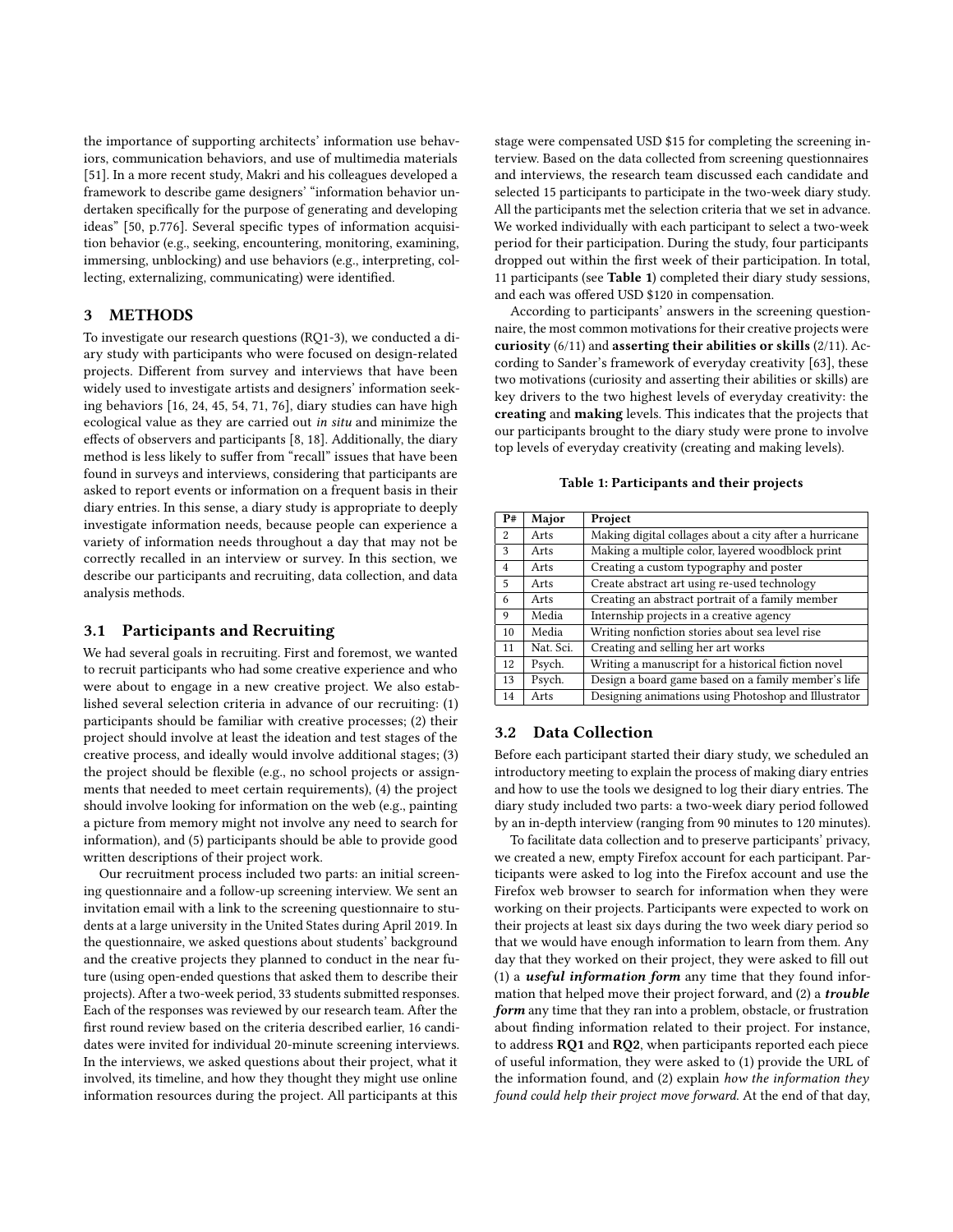the importance of supporting architects' information use behaviors, communication behaviors, and use of multimedia materials [\[51\]](#page-9-16). In a more recent study, Makri and his colleagues developed a framework to describe game designers' "information behavior undertaken specifically for the purpose of generating and developing ideas" [\[50,](#page-9-15) p.776]. Several specific types of information acquisition behavior (e.g., seeking, encountering, monitoring, examining, immersing, unblocking) and use behaviors (e.g., interpreting, collecting, externalizing, communicating) were identified.

## 3 METHODS

To investigate our research questions (RQ1-3), we conducted a diary study with participants who were focused on design-related projects. Different from survey and interviews that have been widely used to investigate artists and designers' information seeking behaviors [\[16,](#page-9-27) [24,](#page-9-28) [45,](#page-9-29) [54,](#page-9-39) [71,](#page-10-12) [76\]](#page-10-11), diary studies can have high ecological value as they are carried out in situ and minimize the effects of observers and participants [\[8,](#page-9-40) [18\]](#page-9-41). Additionally, the diary method is less likely to suffer from "recall" issues that have been found in surveys and interviews, considering that participants are asked to report events or information on a frequent basis in their diary entries. In this sense, a diary study is appropriate to deeply investigate information needs, because people can experience a variety of information needs throughout a day that may not be correctly recalled in an interview or survey. In this section, we describe our participants and recruiting, data collection, and data analysis methods.

## 3.1 Participants and Recruiting

We had several goals in recruiting. First and foremost, we wanted to recruit participants who had some creative experience and who were about to engage in a new creative project. We also established several selection criteria in advance of our recruiting: (1) participants should be familiar with creative processes; (2) their project should involve at least the ideation and test stages of the creative process, and ideally would involve additional stages; (3) the project should be flexible (e.g., no school projects or assignments that needed to meet certain requirements), (4) the project should involve looking for information on the web (e.g., painting a picture from memory might not involve any need to search for information), and (5) participants should be able to provide good written descriptions of their project work.

Our recruitment process included two parts: an initial screening questionnaire and a follow-up screening interview. We sent an invitation email with a link to the screening questionnaire to students at a large university in the United States during April 2019. In the questionnaire, we asked questions about students' background and the creative projects they planned to conduct in the near future (using open-ended questions that asked them to describe their projects). After a two-week period, 33 students submitted responses. Each of the responses was reviewed by our research team. After the first round review based on the criteria described earlier, 16 candidates were invited for individual 20-minute screening interviews. In the interviews, we asked questions about their project, what it involved, its timeline, and how they thought they might use online information resources during the project. All participants at this

stage were compensated USD \$15 for completing the screening interview. Based on the data collected from screening questionnaires and interviews, the research team discussed each candidate and selected 15 participants to participate in the two-week diary study. All the participants met the selection criteria that we set in advance. We worked individually with each participant to select a two-week period for their participation. During the study, four participants dropped out within the first week of their participation. In total, 11 participants (see Table [1](#page-2-0)) completed their diary study sessions, and each was offered USD \$120 in compensation.

According to participants' answers in the screening questionnaire, the most common motivations for their creative projects were curiosity (6/11) and asserting their abilities or skills (2/11). According to Sander's framework of everyday creativity [\[63\]](#page-10-8), these two motivations (curiosity and asserting their abilities or skills) are key drivers to the two highest levels of everyday creativity: the creating and making levels. This indicates that the projects that our participants brought to the diary study were prone to involve top levels of everyday creativity (creating and making levels).

#### Table 1: Participants and their projects

<span id="page-2-0"></span>

| P#             | Major     | Project                                                |
|----------------|-----------|--------------------------------------------------------|
| 2              | Arts      | Making digital collages about a city after a hurricane |
| 3              | Arts      | Making a multiple color, layered woodblock print       |
| $\overline{4}$ | Arts      | Creating a custom typography and poster                |
| 5              | Arts      | Create abstract art using re-used technology           |
| 6              | Arts      | Creating an abstract portrait of a family member       |
| 9              | Media     | Internship projects in a creative agency               |
| 10             | Media     | Writing nonfiction stories about sea level rise        |
| 11             | Nat. Sci. | Creating and selling her art works                     |
| 12             | Psych.    | Writing a manuscript for a historical fiction novel    |
| 13             | Psych.    | Design a board game based on a family member's life    |
| 14             | Arts      | Designing animations using Photoshop and Illustrator   |

# 3.2 Data Collection

Before each participant started their diary study, we scheduled an introductory meeting to explain the process of making diary entries and how to use the tools we designed to log their diary entries. The diary study included two parts: a two-week diary period followed by an in-depth interview (ranging from 90 minutes to 120 minutes).

To facilitate data collection and to preserve participants' privacy, we created a new, empty Firefox account for each participant. Participants were asked to log into the Firefox account and use the Firefox web browser to search for information when they were working on their projects. Participants were expected to work on their projects at least six days during the two week diary period so that we would have enough information to learn from them. Any day that they worked on their project, they were asked to fill out (1) a *useful information form* any time that they found information that helped move their project forward, and (2) a *trouble* form any time that they ran into a problem, obstacle, or frustration about finding information related to their project. For instance, to address RQ1 and RQ2, when participants reported each piece of useful information, they were asked to (1) provide the URL of the information found, and (2) explain how the information they found could help their project move forward. At the end of that day,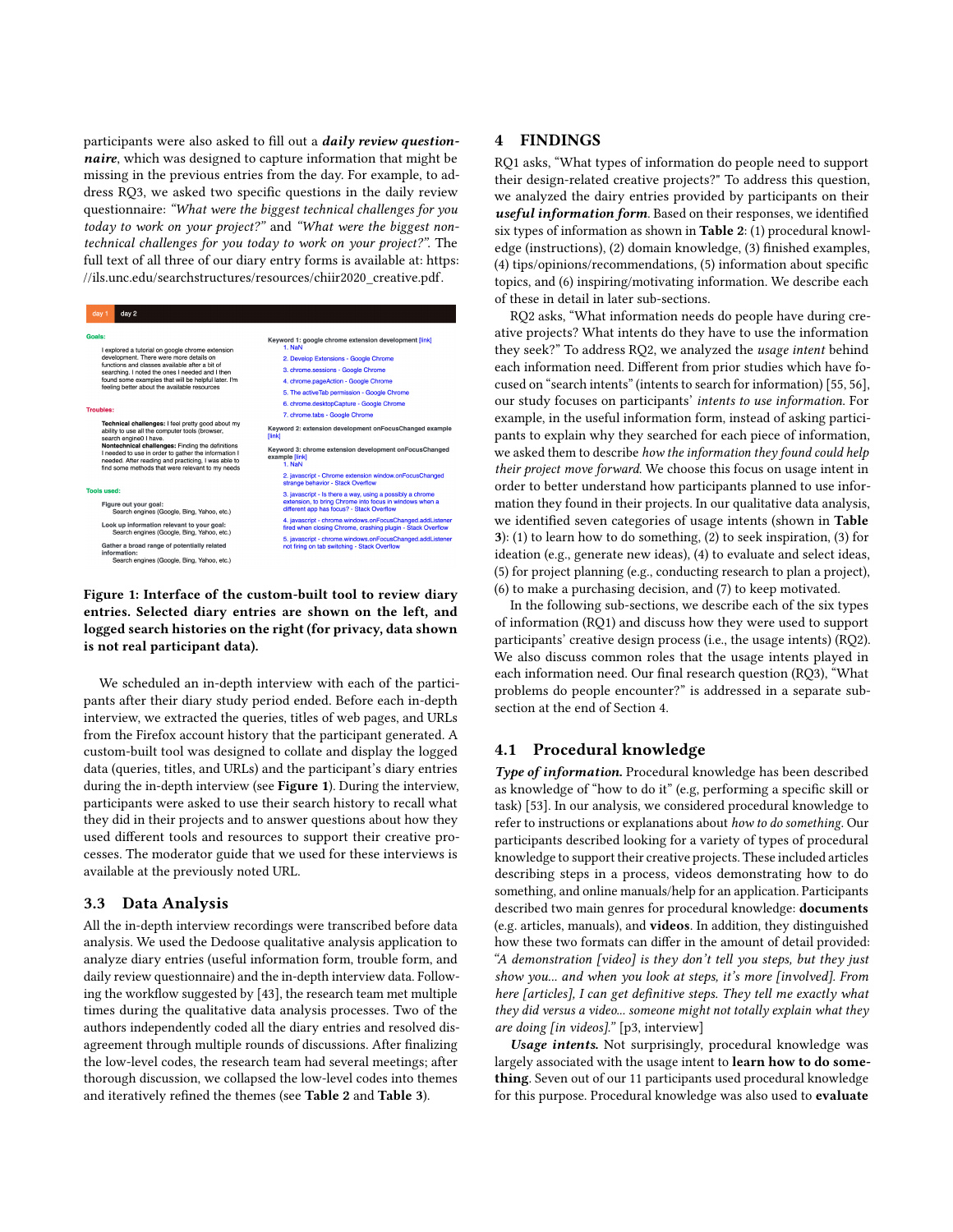participants were also asked to fill out a *daily review question*naire, which was designed to capture information that might be missing in the previous entries from the day. For example, to address RQ3, we asked two specific questions in the daily review questionnaire: "What were the biggest technical challenges for you today to work on your project?" and "What were the biggest nontechnical challenges for you today to work on your project?". The full text of all three of our diary entry forms is available at: [https:](https://ils.unc.edu/searchstructures/resources/chiir2020_creative.pdf) [//ils.unc.edu/searchstructures/resources/chiir2020\\_creative.pdf.](https://ils.unc.edu/searchstructures/resources/chiir2020_creative.pdf)

<span id="page-3-0"></span>

Figure 1: Interface of the custom-built tool to review diary entries. Selected diary entries are shown on the left, and logged search histories on the right (for privacy, data shown is not real participant data).

We scheduled an in-depth interview with each of the participants after their diary study period ended. Before each in-depth interview, we extracted the queries, titles of web pages, and URLs from the Firefox account history that the participant generated. A custom-built tool was designed to collate and display the logged data (queries, titles, and URLs) and the participant's diary entries during the in-depth interview (see Figure [1](#page-3-0)). During the interview, participants were asked to use their search history to recall what they did in their projects and to answer questions about how they used different tools and resources to support their creative processes. The moderator guide that we used for these interviews is available at the previously noted URL.

#### 3.3 Data Analysis

All the in-depth interview recordings were transcribed before data analysis. We used the Dedoose qualitative analysis application to analyze diary entries (useful information form, trouble form, and daily review questionnaire) and the in-depth interview data. Following the workflow suggested by [\[43\]](#page-9-42), the research team met multiple times during the qualitative data analysis processes. Two of the authors independently coded all the diary entries and resolved disagreement through multiple rounds of discussions. After finalizing the low-level codes, the research team had several meetings; after thorough discussion, we collapsed the low-level codes into themes and iteratively refined the themes (see Table [2](#page-4-0) and Table [3](#page-4-1)).

## <span id="page-3-1"></span>4 FINDINGS

RQ1 asks, "What types of information do people need to support their design-related creative projects?" To address this question, we analyzed the dairy entries provided by participants on their useful information form. Based on their responses, we identified six types of information as shown in Table [2](#page-4-0): (1) procedural knowledge (instructions), (2) domain knowledge, (3) finished examples, (4) tips/opinions/recommendations, (5) information about specific topics, and (6) inspiring/motivating information. We describe each of these in detail in later sub-sections.

RQ2 asks, "What information needs do people have during creative projects? What intents do they have to use the information they seek?" To address RQ2, we analyzed the usage intent behind each information need. Different from prior studies which have focused on "search intents" (intents to search for information) [\[55,](#page-9-34) [56\]](#page-9-35), our study focuses on participants' intents to use information. For example, in the useful information form, instead of asking participants to explain why they searched for each piece of information, we asked them to describe how the information they found could help their project move forward. We choose this focus on usage intent in order to better understand how participants planned to use information they found in their projects. In our qualitative data analysis, we identified seven categories of usage intents (shown in Table [3](#page-4-1)): (1) to learn how to do something, (2) to seek inspiration, (3) for ideation (e.g., generate new ideas), (4) to evaluate and select ideas, (5) for project planning (e.g., conducting research to plan a project), (6) to make a purchasing decision, and (7) to keep motivated.

In the following sub-sections, we describe each of the six types of information (RQ1) and discuss how they were used to support participants' creative design process (i.e., the usage intents) (RQ2). We also discuss common roles that the usage intents played in each information need. Our final research question (RQ3), "What problems do people encounter?" is addressed in a separate subsection at the end of Section [4.](#page-3-1)

## 4.1 Procedural knowledge

Type of information. Procedural knowledge has been described as knowledge of "how to do it" (e.g, performing a specific skill or task) [\[53\]](#page-9-43). In our analysis, we considered procedural knowledge to refer to instructions or explanations about how to do something. Our participants described looking for a variety of types of procedural knowledge to support their creative projects. These included articles describing steps in a process, videos demonstrating how to do something, and online manuals/help for an application. Participants described two main genres for procedural knowledge: documents (e.g. articles, manuals), and videos. In addition, they distinguished how these two formats can differ in the amount of detail provided: "A demonstration [video] is they don't tell you steps, but they just show you... and when you look at steps, it's more [involved]. From here [articles], I can get definitive steps. They tell me exactly what they did versus a video... someone might not totally explain what they are doing [in videos]." [p3, interview]

Usage intents. Not surprisingly, procedural knowledge was largely associated with the usage intent to learn how to do something. Seven out of our 11 participants used procedural knowledge for this purpose. Procedural knowledge was also used to evaluate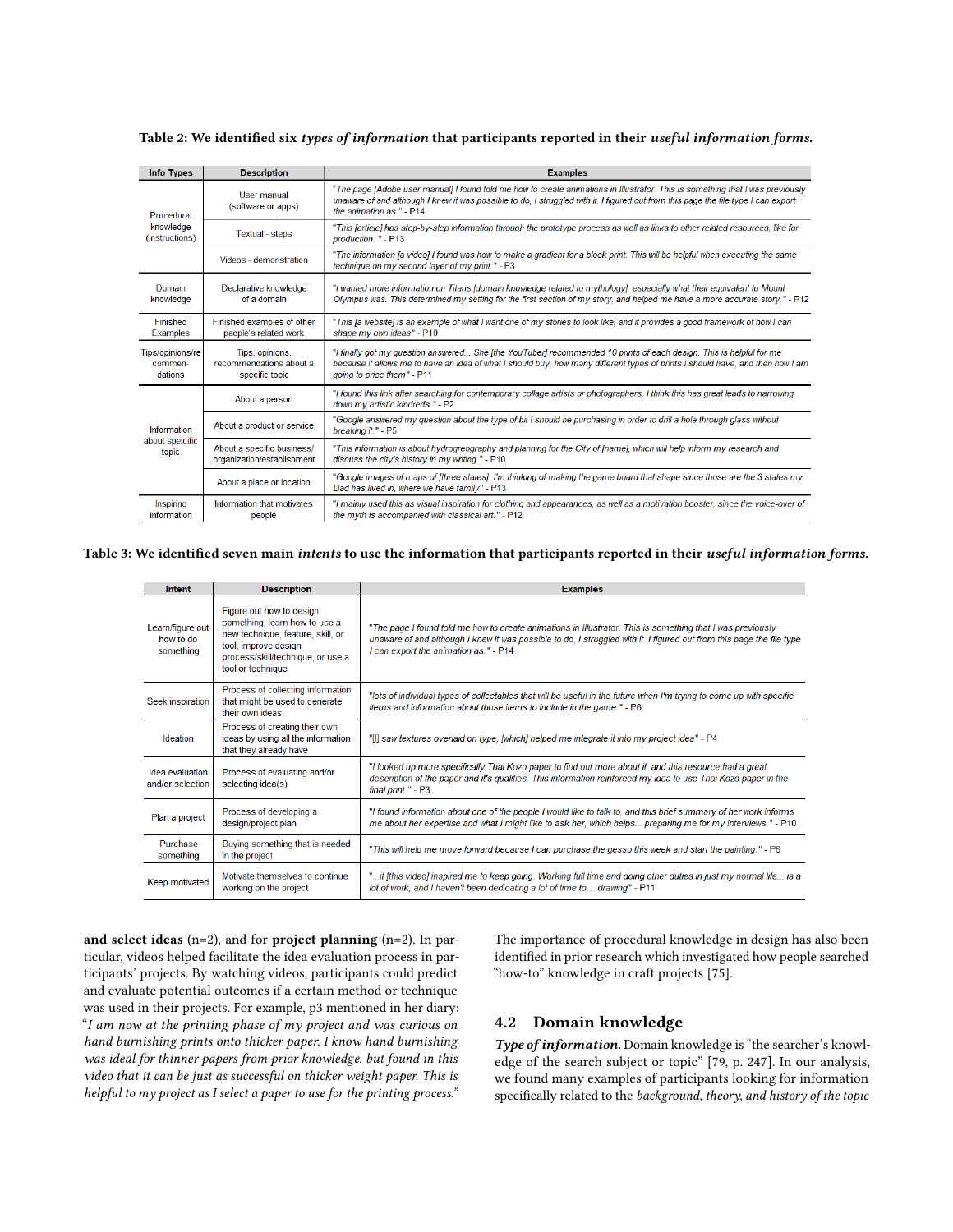| <b>Info Types</b>                         | <b>Description</b>                                           | <b>Examples</b>                                                                                                                                                                                                                                                                                  |
|-------------------------------------------|--------------------------------------------------------------|--------------------------------------------------------------------------------------------------------------------------------------------------------------------------------------------------------------------------------------------------------------------------------------------------|
| Procedural<br>knowledge<br>(instructions) | User manual<br>(software or apps)                            | "The page [Adobe user manual] I found told me how to create animations in Illustrator. This is something that I was previously<br>unaware of and although I knew it was possible to do, I struggled with it. I figured out from this page the file type I can export<br>the animation as." - P14 |
|                                           | <b>Textual - steps</b>                                       | "This [article] has step-by-step information through the prototype process as well as links to other related resources, like for<br>production. " - P13                                                                                                                                          |
|                                           | Videos - demonstration                                       | "The information [a video] I found was how to make a gradient for a block print. This will be helpful when executing the same<br>technique on my second layer of my print." - P3                                                                                                                 |
| Domain<br>knowledge                       | Declarative knowledge<br>of a domain                         | "I wanted more information on Titans [domain knowledge related to mythology], especially what their equivalent to Mount<br>Olympus was. This determined my setting for the first section of my story, and helped me have a more accurate story." - P12                                           |
| Finished<br><b>Examples</b>               | Finished examples of other<br>people's related work          | "This [a website] is an example of what I want one of my stories to look like, and it provides a good framework of how I can<br>shape my own ideas" - P10                                                                                                                                        |
| Tips/opinions/re<br>commen-<br>dations    | Tips, opinions,<br>recommendations about a<br>specific topic | "I finally got my question answered She [the YouTuber] recommended 10 prints of each design. This is helpful for me<br>because it allows me to have an idea of what I should buy, how many different types of prints I should have, and then how I am<br>going to price them" - P11              |
|                                           | About a person                                               | "I found this link after searching for contemporary collage artists or photographers. I think this has great leads to narrowing<br>down my artistic kindreds." - P2                                                                                                                              |
| Information                               | About a product or service                                   | "Google answered my question about the type of bit I should be purchasing in order to drill a hole through glass without<br>breaking it." - P5                                                                                                                                                   |
| about speicific<br>topic                  | About a specific business/<br>organization/establishment     | "This information is about hydrogreography and planning for the City of [name], which will help inform my research and<br>discuss the city's history in my writing." - P10                                                                                                                       |
|                                           | About a place or location                                    | "Google images of maps of [three states]. I'm thinking of making the game board that shape since those are the 3 states my<br>Dad has lived in, where we have family" - P13                                                                                                                      |
| Inspiring<br>information                  | Information that motivates<br>people                         | "I mainly used this as visual inspiration for clothing and appearances, as well as a motivation booster, since the voice-over of<br>the myth is accompanied with classical art " - P12                                                                                                           |

<span id="page-4-0"></span>Table 2: We identified six types of information that participants reported in their useful information forms.

#### <span id="page-4-1"></span>Table 3: We identified seven main intents to use the information that participants reported in their useful information forms.

| Intent                                     | <b>Description</b>                                                                                                                                                               | <b>Examples</b>                                                                                                                                                                                                                                                              |
|--------------------------------------------|----------------------------------------------------------------------------------------------------------------------------------------------------------------------------------|------------------------------------------------------------------------------------------------------------------------------------------------------------------------------------------------------------------------------------------------------------------------------|
| Learn/figure out<br>how to do<br>something | Figure out how to design<br>something, learn how to use a<br>new technique, feature, skill, or<br>tool, improve design<br>process/skill/technique, or use a<br>tool or technique | "The page I found told me how to create animations in Illustrator. This is something that I was previously<br>unaware of and although I knew it was possible to do, I struggled with it. I figured out from this page the file type<br>I can export the animation as." - P14 |
| Seek inspiration                           | Process of collecting information<br>that might be used to generate<br>their own ideas                                                                                           | "lots of individual types of collectables that will be useful in the future when I'm trying to come up with specific<br>items and information about those items to include in the game." - P6                                                                                |
| Ideation                                   | Process of creating their own<br>ideas by using all the information<br>that they already have                                                                                    | [1] saw textures overlaid on type, [which] helped me integrate it into my project idea" - P4"                                                                                                                                                                                |
| Idea evaluation<br>and/or selection        | Process of evaluating and/or<br>selecting idea(s)                                                                                                                                | "I looked up more specifically Thai Kozo paper to find out more about it, and this resource had a great<br>description of the paper and it's qualities. This information reinforced my idea to use Thai Kozo paper in the<br>final print." - P3                              |
| Plan a project                             | Process of developing a<br>design/project plan                                                                                                                                   | "I found information about one of the people I would like to talk to, and this brief summary of her work informs<br>me about her expertise and what I might like to ask her, which helps preparing me for my interviews." - P10                                              |
| Purchase<br>something                      | Buying something that is needed<br>in the project                                                                                                                                | "This will help me move forward because I can purchase the gesso this week and start the painting." - P6                                                                                                                                                                     |
| Keep motivated                             | Motivate themselves to continue<br>working on the project                                                                                                                        | it it it is video] inspired me to keep going. Working full time and doing other duties in just my normal life… is a."<br>lot of work, and I haven't been dedicating a lot of time to drawing" - P11                                                                          |

and select ideas  $(n=2)$ , and for project planning  $(n=2)$ . In particular, videos helped facilitate the idea evaluation process in participants' projects. By watching videos, participants could predict and evaluate potential outcomes if a certain method or technique was used in their projects. For example, p3 mentioned in her diary: "I am now at the printing phase of my project and was curious on hand burnishing prints onto thicker paper. I know hand burnishing was ideal for thinner papers from prior knowledge, but found in this video that it can be just as successful on thicker weight paper. This is helpful to my project as I select a paper to use for the printing process."

The importance of procedural knowledge in design has also been identified in prior research which investigated how people searched "how-to" knowledge in craft projects [\[75\]](#page-10-14).

# 4.2 Domain knowledge

Type of information. Domain knowledge is "the searcher's knowledge of the search subject or topic" [\[79,](#page-10-15) p. 247]. In our analysis, we found many examples of participants looking for information specifically related to the background, theory, and history of the topic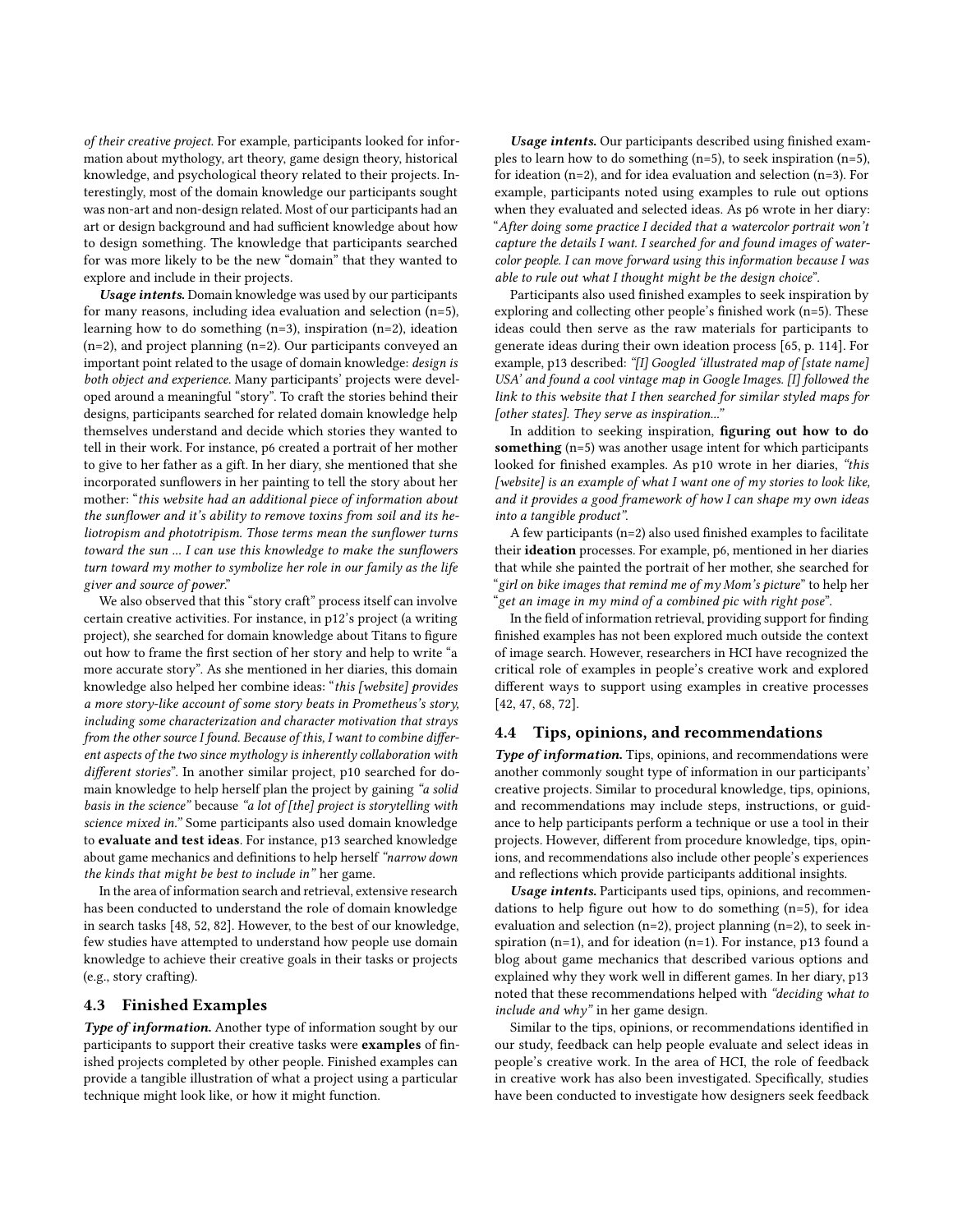of their creative project. For example, participants looked for information about mythology, art theory, game design theory, historical knowledge, and psychological theory related to their projects. Interestingly, most of the domain knowledge our participants sought was non-art and non-design related. Most of our participants had an art or design background and had sufficient knowledge about how to design something. The knowledge that participants searched for was more likely to be the new "domain" that they wanted to explore and include in their projects.

Usage intents. Domain knowledge was used by our participants for many reasons, including idea evaluation and selection (n=5), learning how to do something (n=3), inspiration (n=2), ideation (n=2), and project planning (n=2). Our participants conveyed an important point related to the usage of domain knowledge: design is both object and experience. Many participants' projects were developed around a meaningful "story". To craft the stories behind their designs, participants searched for related domain knowledge help themselves understand and decide which stories they wanted to tell in their work. For instance, p6 created a portrait of her mother to give to her father as a gift. In her diary, she mentioned that she incorporated sunflowers in her painting to tell the story about her mother: "this website had an additional piece of information about the sunflower and it's ability to remove toxins from soil and its heliotropism and phototripism. Those terms mean the sunflower turns toward the sun ... I can use this knowledge to make the sunflowers turn toward my mother to symbolize her role in our family as the life giver and source of power."

We also observed that this "story craft" process itself can involve certain creative activities. For instance, in p12's project (a writing project), she searched for domain knowledge about Titans to figure out how to frame the first section of her story and help to write "a more accurate story". As she mentioned in her diaries, this domain knowledge also helped her combine ideas: "this [website] provides a more story-like account of some story beats in Prometheus's story, including some characterization and character motivation that strays from the other source I found. Because of this, I want to combine different aspects of the two since mythology is inherently collaboration with different stories". In another similar project, p10 searched for domain knowledge to help herself plan the project by gaining "a solid basis in the science" because "a lot of [the] project is storytelling with science mixed in." Some participants also used domain knowledge to evaluate and test ideas. For instance, p13 searched knowledge about game mechanics and definitions to help herself "narrow down the kinds that might be best to include in" her game.

In the area of information search and retrieval, extensive research has been conducted to understand the role of domain knowledge in search tasks [\[48,](#page-9-44) [52,](#page-9-45) [82\]](#page-10-16). However, to the best of our knowledge, few studies have attempted to understand how people use domain knowledge to achieve their creative goals in their tasks or projects (e.g., story crafting).

## <span id="page-5-0"></span>4.3 Finished Examples

Type of information. Another type of information sought by our participants to support their creative tasks were examples of finished projects completed by other people. Finished examples can provide a tangible illustration of what a project using a particular technique might look like, or how it might function.

Usage intents. Our participants described using finished examples to learn how to do something  $(n=5)$ , to seek inspiration  $(n=5)$ , for ideation (n=2), and for idea evaluation and selection (n=3). For example, participants noted using examples to rule out options when they evaluated and selected ideas. As p6 wrote in her diary: "After doing some practice I decided that a watercolor portrait won't capture the details I want. I searched for and found images of watercolor people. I can move forward using this information because I was able to rule out what I thought might be the design choice".

Participants also used finished examples to seek inspiration by exploring and collecting other people's finished work (n=5). These ideas could then serve as the raw materials for participants to generate ideas during their own ideation process [\[65,](#page-10-5) p. 114]. For example, p13 described: "[I] Googled 'illustrated map of [state name] USA' and found a cool vintage map in Google Images. [I] followed the link to this website that I then searched for similar styled maps for [other states]. They serve as inspiration...'

In addition to seeking inspiration, figuring out how to do something (n=5) was another usage intent for which participants looked for finished examples. As p10 wrote in her diaries, "this [website] is an example of what I want one of my stories to look like, and it provides a good framework of how I can shape my own ideas into a tangible product".

A few participants (n=2) also used finished examples to facilitate their ideation processes. For example, p6, mentioned in her diaries that while she painted the portrait of her mother, she searched for "girl on bike images that remind me of my Mom's picture" to help her "get an image in my mind of a combined pic with right pose".

In the field of information retrieval, providing support for finding finished examples has not been explored much outside the context of image search. However, researchers in HCI have recognized the critical role of examples in people's creative work and explored different ways to support using examples in creative processes [\[42,](#page-9-46) [47,](#page-9-47) [68,](#page-10-17) [72\]](#page-10-18).

#### 4.4 Tips, opinions, and recommendations

Type of information. Tips, opinions, and recommendations were another commonly sought type of information in our participants' creative projects. Similar to procedural knowledge, tips, opinions, and recommendations may include steps, instructions, or guidance to help participants perform a technique or use a tool in their projects. However, different from procedure knowledge, tips, opinions, and recommendations also include other people's experiences and reflections which provide participants additional insights.

Usage intents. Participants used tips, opinions, and recommendations to help figure out how to do something  $(n=5)$ , for idea evaluation and selection (n=2), project planning (n=2), to seek inspiration (n=1), and for ideation (n=1). For instance, p13 found a blog about game mechanics that described various options and explained why they work well in different games. In her diary, p13 noted that these recommendations helped with "deciding what to include and why" in her game design.

Similar to the tips, opinions, or recommendations identified in our study, feedback can help people evaluate and select ideas in people's creative work. In the area of HCI, the role of feedback in creative work has also been investigated. Specifically, studies have been conducted to investigate how designers seek feedback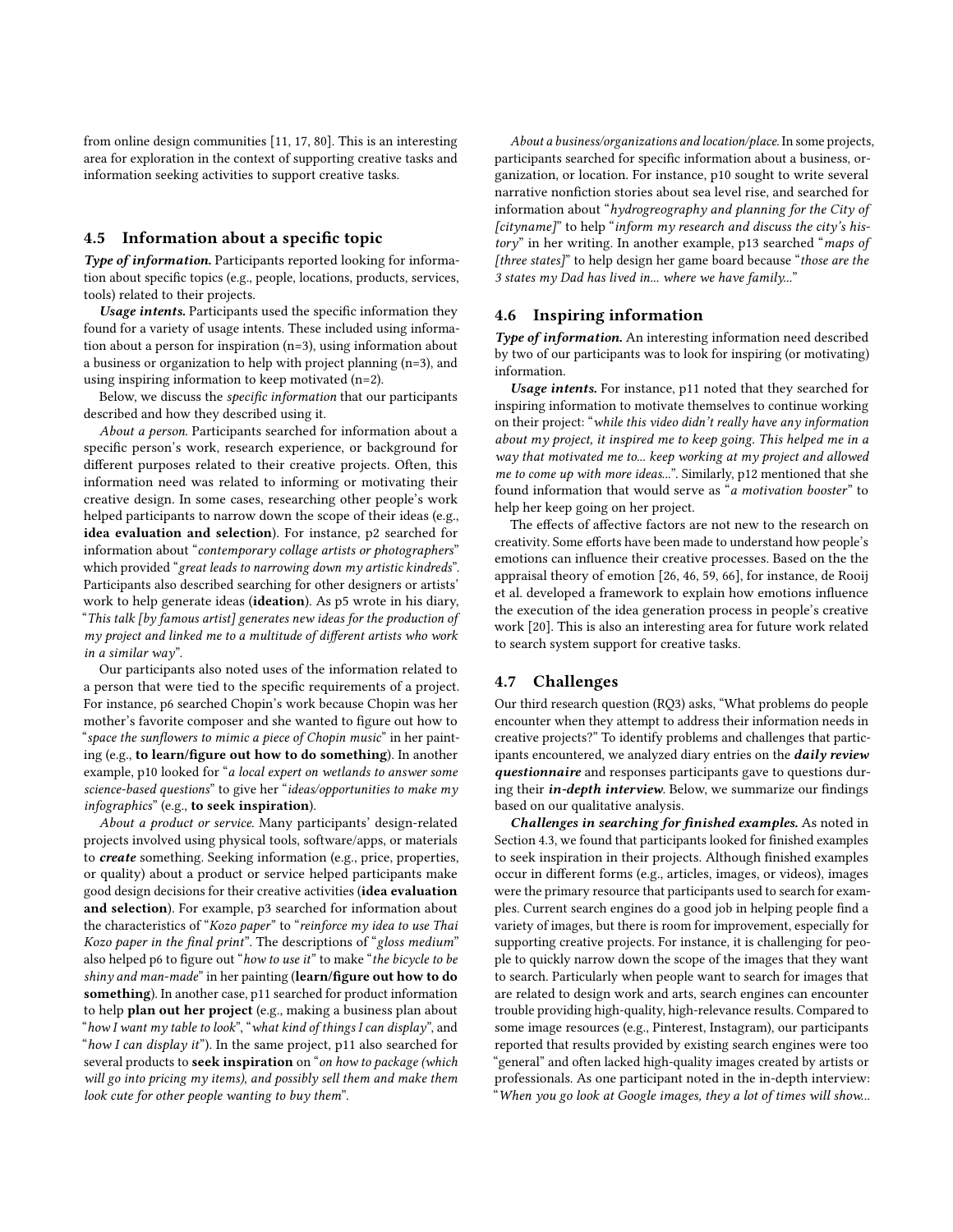from online design communities [\[11,](#page-9-48) [17,](#page-9-49) [80\]](#page-10-19). This is an interesting area for exploration in the context of supporting creative tasks and information seeking activities to support creative tasks.

### 4.5 Information about a specific topic

Type of information. Participants reported looking for information about specific topics (e.g., people, locations, products, services, tools) related to their projects.

Usage intents. Participants used the specific information they found for a variety of usage intents. These included using information about a person for inspiration (n=3), using information about a business or organization to help with project planning (n=3), and using inspiring information to keep motivated (n=2).

Below, we discuss the specific information that our participants described and how they described using it.

About a person. Participants searched for information about a specific person's work, research experience, or background for different purposes related to their creative projects. Often, this information need was related to informing or motivating their creative design. In some cases, researching other people's work helped participants to narrow down the scope of their ideas (e.g., idea evaluation and selection). For instance, p2 searched for information about "contemporary collage artists or photographers" which provided "great leads to narrowing down my artistic kindreds". Participants also described searching for other designers or artists' work to help generate ideas (ideation). As p5 wrote in his diary, "This talk [by famous artist] generates new ideas for the production of my project and linked me to a multitude of different artists who work in a similar way".

Our participants also noted uses of the information related to a person that were tied to the specific requirements of a project. For instance, p6 searched Chopin's work because Chopin was her mother's favorite composer and she wanted to figure out how to "space the sunflowers to mimic a piece of Chopin music" in her painting (e.g., to learn/figure out how to do something). In another example, p10 looked for "a local expert on wetlands to answer some science-based questions" to give her "ideas/opportunities to make my infographics" (e.g., to seek inspiration).

About a product or service. Many participants' design-related projects involved using physical tools, software/apps, or materials to create something. Seeking information (e.g., price, properties, or quality) about a product or service helped participants make good design decisions for their creative activities (idea evaluation and selection). For example, p3 searched for information about the characteristics of "Kozo paper" to "reinforce my idea to use Thai Kozo paper in the final print". The descriptions of "gloss medium" also helped p6 to figure out "how to use it" to make "the bicycle to be shiny and man-made" in her painting (learn/figure out how to do something). In another case, p11 searched for product information to help plan out her project (e.g., making a business plan about "how I want my table to look", "what kind of things I can display", and "how I can display it"). In the same project, p11 also searched for several products to seek inspiration on "on how to package (which will go into pricing my items), and possibly sell them and make them look cute for other people wanting to buy them".

About a business/organizations and location/place. In some projects, participants searched for specific information about a business, organization, or location. For instance, p10 sought to write several narrative nonfiction stories about sea level rise, and searched for information about "hydrogreography and planning for the City of  $[cityname]$ " to help "inform my research and discuss the city's history" in her writing. In another example, p13 searched "maps of [three states]" to help design her game board because "those are the 3 states my Dad has lived in... where we have family..."

## 4.6 Inspiring information

Type of information. An interesting information need described by two of our participants was to look for inspiring (or motivating) information.

Usage intents. For instance, p11 noted that they searched for inspiring information to motivate themselves to continue working on their project: "while this video didn't really have any information about my project, it inspired me to keep going. This helped me in a way that motivated me to... keep working at my project and allowed me to come up with more ideas...". Similarly, p12 mentioned that she found information that would serve as "a motivation booster" to help her keep going on her project.

The effects of affective factors are not new to the research on creativity. Some efforts have been made to understand how people's emotions can influence their creative processes. Based on the the appraisal theory of emotion [\[26,](#page-9-50) [46,](#page-9-51) [59,](#page-9-52) [66\]](#page-10-20), for instance, [de Rooij](#page-9-2) [et al.](#page-9-2) developed a framework to explain how emotions influence the execution of the idea generation process in people's creative work [\[20\]](#page-9-2). This is also an interesting area for future work related to search system support for creative tasks.

## <span id="page-6-0"></span>4.7 Challenges

Our third research question (RQ3) asks, "What problems do people encounter when they attempt to address their information needs in creative projects?" To identify problems and challenges that participants encountered, we analyzed diary entries on the *daily review* questionnaire and responses participants gave to questions during their *in-depth interview*. Below, we summarize our findings based on our qualitative analysis.

Challenges in searching for finished examples. As noted in Section [4.3,](#page-5-0) we found that participants looked for finished examples to seek inspiration in their projects. Although finished examples occur in different forms (e.g., articles, images, or videos), images were the primary resource that participants used to search for examples. Current search engines do a good job in helping people find a variety of images, but there is room for improvement, especially for supporting creative projects. For instance, it is challenging for people to quickly narrow down the scope of the images that they want to search. Particularly when people want to search for images that are related to design work and arts, search engines can encounter trouble providing high-quality, high-relevance results. Compared to some image resources (e.g., Pinterest, Instagram), our participants reported that results provided by existing search engines were too "general" and often lacked high-quality images created by artists or professionals. As one participant noted in the in-depth interview: "When you go look at Google images, they a lot of times will show...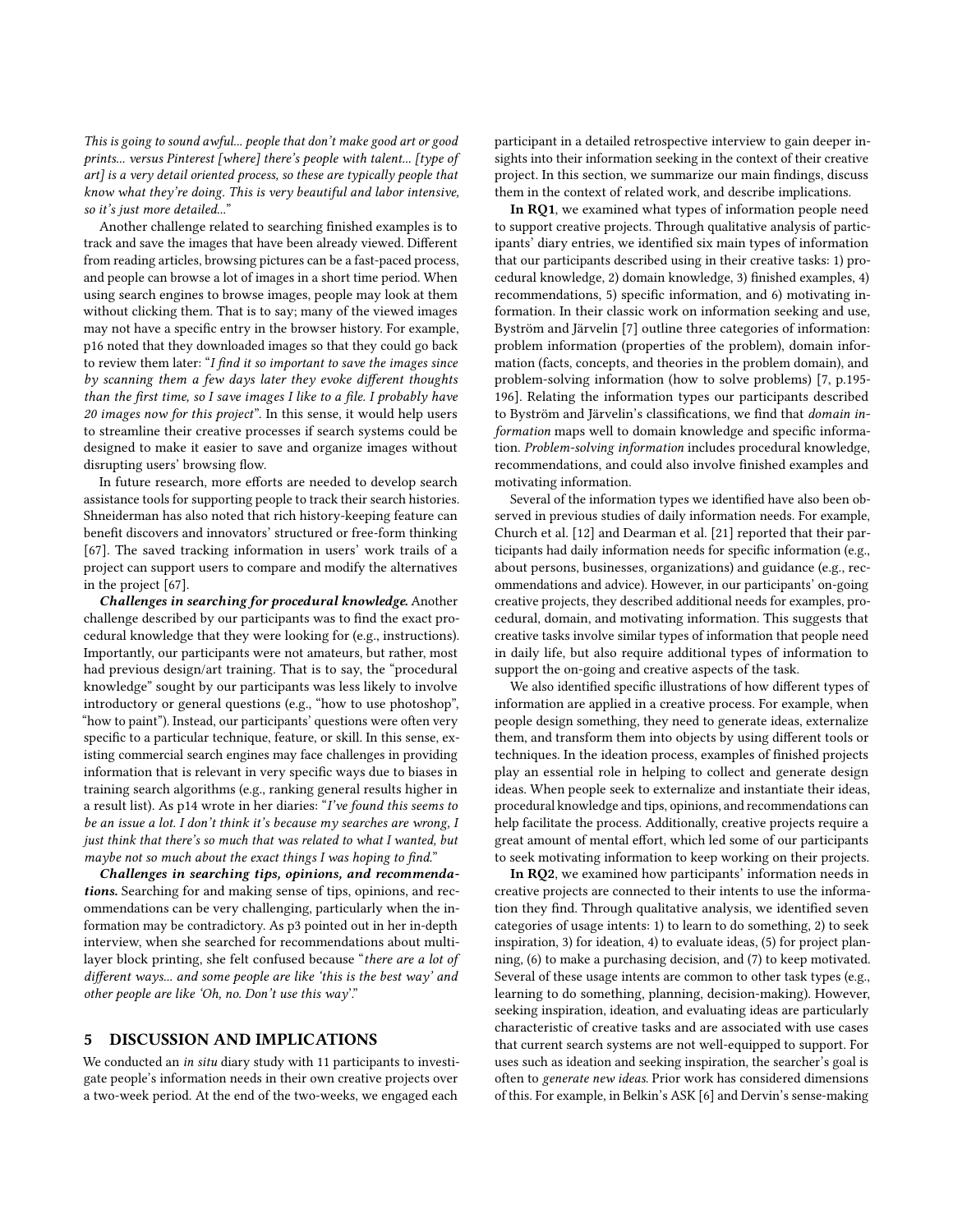This is going to sound awful... people that don't make good art or good prints... versus Pinterest [where] there's people with talent... [type of art] is a very detail oriented process, so these are typically people that know what they're doing. This is very beautiful and labor intensive, so it's just more detailed...'

Another challenge related to searching finished examples is to track and save the images that have been already viewed. Different from reading articles, browsing pictures can be a fast-paced process, and people can browse a lot of images in a short time period. When using search engines to browse images, people may look at them without clicking them. That is to say; many of the viewed images may not have a specific entry in the browser history. For example, p16 noted that they downloaded images so that they could go back to review them later: "I find it so important to save the images since by scanning them a few days later they evoke different thoughts than the first time, so I save images I like to a file. I probably have 20 images now for this project". In this sense, it would help users to streamline their creative processes if search systems could be designed to make it easier to save and organize images without disrupting users' browsing flow.

In future research, more efforts are needed to develop search assistance tools for supporting people to track their search histories. Shneiderman has also noted that rich history-keeping feature can benefit discovers and innovators' structured or free-form thinking [\[67\]](#page-10-2). The saved tracking information in users' work trails of a project can support users to compare and modify the alternatives in the project [\[67\]](#page-10-2).

Challenges in searching for procedural knowledge. Another challenge described by our participants was to find the exact procedural knowledge that they were looking for (e.g., instructions). Importantly, our participants were not amateurs, but rather, most had previous design/art training. That is to say, the "procedural knowledge" sought by our participants was less likely to involve introductory or general questions (e.g., "how to use photoshop", "how to paint"). Instead, our participants' questions were often very specific to a particular technique, feature, or skill. In this sense, existing commercial search engines may face challenges in providing information that is relevant in very specific ways due to biases in training search algorithms (e.g., ranking general results higher in a result list). As p14 wrote in her diaries: "I've found this seems to be an issue a lot. I don't think it's because my searches are wrong, I just think that there's so much that was related to what I wanted, but maybe not so much about the exact things I was hoping to find."

Challenges in searching tips, opinions, and recommendations. Searching for and making sense of tips, opinions, and recommendations can be very challenging, particularly when the information may be contradictory. As p3 pointed out in her in-depth interview, when she searched for recommendations about multilayer block printing, she felt confused because "there are a lot of different ways... and some people are like 'this is the best way' and other people are like 'Oh, no. Don't use this way'."

## 5 DISCUSSION AND IMPLICATIONS

We conducted an in situ diary study with 11 participants to investigate people's information needs in their own creative projects over a two-week period. At the end of the two-weeks, we engaged each

participant in a detailed retrospective interview to gain deeper insights into their information seeking in the context of their creative project. In this section, we summarize our main findings, discuss them in the context of related work, and describe implications.

In RQ1, we examined what types of information people need to support creative projects. Through qualitative analysis of participants' diary entries, we identified six main types of information that our participants described using in their creative tasks: 1) procedural knowledge, 2) domain knowledge, 3) finished examples, 4) recommendations, 5) specific information, and 6) motivating information. In their classic work on information seeking and use, Byström and Järvelin [\[7\]](#page-9-53) outline three categories of information: problem information (properties of the problem), domain information (facts, concepts, and theories in the problem domain), and problem-solving information (how to solve problems) [\[7,](#page-9-53) p.195- 196]. Relating the information types our participants described to Byström and Järvelin's classifications, we find that domain information maps well to domain knowledge and specific information. Problem-solving information includes procedural knowledge, recommendations, and could also involve finished examples and motivating information.

Several of the information types we identified have also been observed in previous studies of daily information needs. For example, Church et al. [\[12\]](#page-9-31) and Dearman et al. [\[21\]](#page-9-32) reported that their participants had daily information needs for specific information (e.g., about persons, businesses, organizations) and guidance (e.g., recommendations and advice). However, in our participants' on-going creative projects, they described additional needs for examples, procedural, domain, and motivating information. This suggests that creative tasks involve similar types of information that people need in daily life, but also require additional types of information to support the on-going and creative aspects of the task.

We also identified specific illustrations of how different types of information are applied in a creative process. For example, when people design something, they need to generate ideas, externalize them, and transform them into objects by using different tools or techniques. In the ideation process, examples of finished projects play an essential role in helping to collect and generate design ideas. When people seek to externalize and instantiate their ideas, procedural knowledge and tips, opinions, and recommendations can help facilitate the process. Additionally, creative projects require a great amount of mental effort, which led some of our participants to seek motivating information to keep working on their projects.

In RQ2, we examined how participants' information needs in creative projects are connected to their intents to use the information they find. Through qualitative analysis, we identified seven categories of usage intents: 1) to learn to do something, 2) to seek inspiration, 3) for ideation, 4) to evaluate ideas, (5) for project planning, (6) to make a purchasing decision, and (7) to keep motivated. Several of these usage intents are common to other task types (e.g., learning to do something, planning, decision-making). However, seeking inspiration, ideation, and evaluating ideas are particularly characteristic of creative tasks and are associated with use cases that current search systems are not well-equipped to support. For uses such as ideation and seeking inspiration, the searcher's goal is often to generate new ideas. Prior work has considered dimensions of this. For example, in Belkin's ASK [\[6\]](#page-9-21) and Dervin's sense-making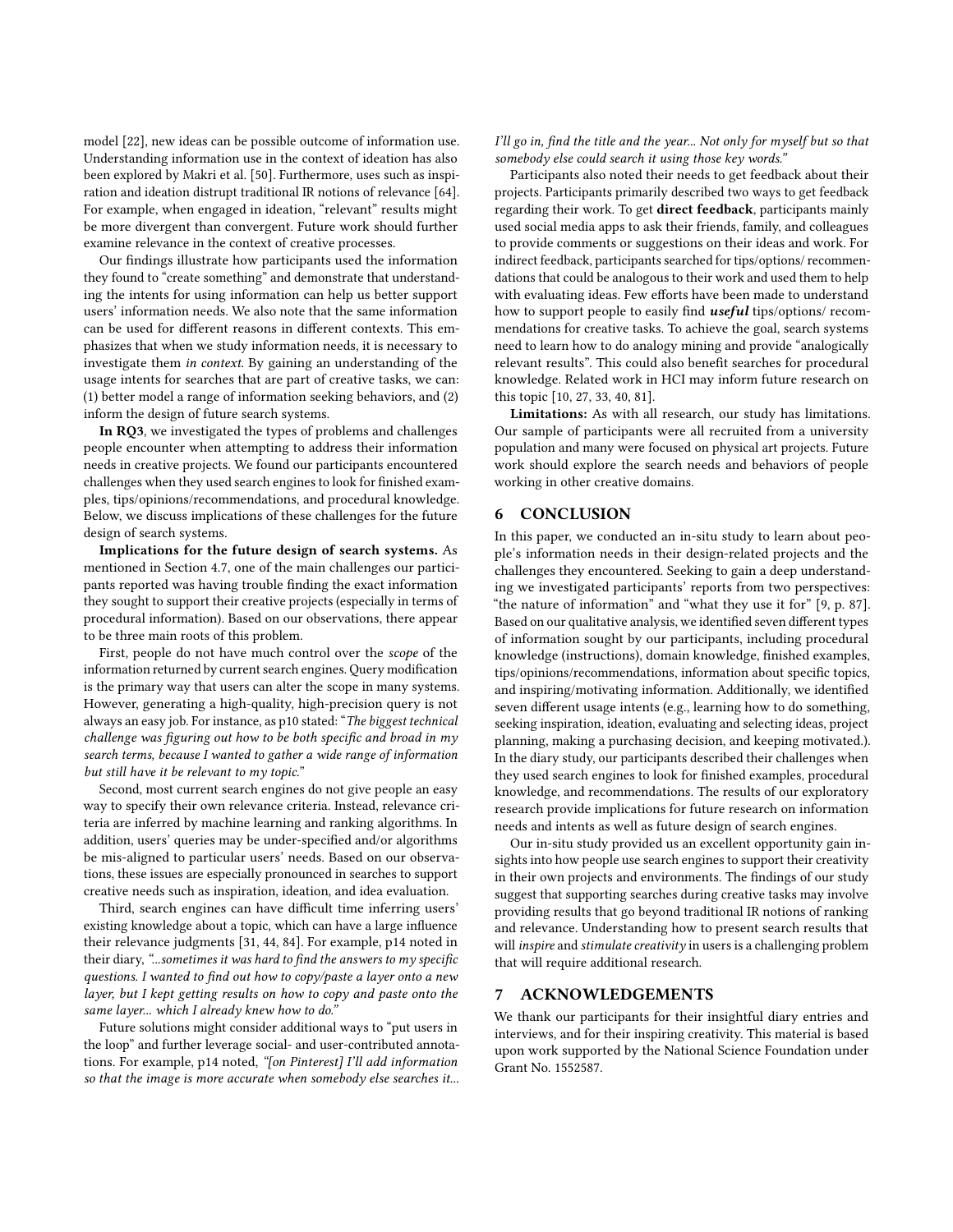model [\[22\]](#page-9-23), new ideas can be possible outcome of information use. Understanding information use in the context of ideation has also been explored by Makri et al. [\[50\]](#page-9-15). Furthermore, uses such as inspiration and ideation distrupt traditional IR notions of relevance [\[64\]](#page-10-21). For example, when engaged in ideation, "relevant" results might be more divergent than convergent. Future work should further examine relevance in the context of creative processes.

Our findings illustrate how participants used the information they found to "create something" and demonstrate that understanding the intents for using information can help us better support users' information needs. We also note that the same information can be used for different reasons in different contexts. This emphasizes that when we study information needs, it is necessary to investigate them in context. By gaining an understanding of the usage intents for searches that are part of creative tasks, we can: (1) better model a range of information seeking behaviors, and (2) inform the design of future search systems.

In RQ3, we investigated the types of problems and challenges people encounter when attempting to address their information needs in creative projects. We found our participants encountered challenges when they used search engines to look for finished examples, tips/opinions/recommendations, and procedural knowledge. Below, we discuss implications of these challenges for the future design of search systems.

Implications for the future design of search systems. As mentioned in Section [4.7,](#page-6-0) one of the main challenges our participants reported was having trouble finding the exact information they sought to support their creative projects (especially in terms of procedural information). Based on our observations, there appear to be three main roots of this problem.

First, people do not have much control over the scope of the information returned by current search engines. Query modification is the primary way that users can alter the scope in many systems. However, generating a high-quality, high-precision query is not always an easy job. For instance, as p10 stated: "The biggest technical challenge was figuring out how to be both specific and broad in my search terms, because I wanted to gather a wide range of information but still have it be relevant to my topic."

Second, most current search engines do not give people an easy way to specify their own relevance criteria. Instead, relevance criteria are inferred by machine learning and ranking algorithms. In addition, users' queries may be under-specified and/or algorithms be mis-aligned to particular users' needs. Based on our observations, these issues are especially pronounced in searches to support creative needs such as inspiration, ideation, and idea evaluation.

Third, search engines can have difficult time inferring users' existing knowledge about a topic, which can have a large influence their relevance judgments [\[31,](#page-9-54) [44,](#page-9-55) [84\]](#page-10-22). For example, p14 noted in their diary, "...sometimes it was hard to find the answers to my specific questions. I wanted to find out how to copy/paste a layer onto a new layer, but I kept getting results on how to copy and paste onto the same layer... which I already knew how to do."

Future solutions might consider additional ways to "put users in the loop" and further leverage social- and user-contributed annotations. For example, p14 noted, "[on Pinterest] I'll add information so that the image is more accurate when somebody else searches it...

I'll go in, find the title and the year... Not only for myself but so that somebody else could search it using those key words."

Participants also noted their needs to get feedback about their projects. Participants primarily described two ways to get feedback regarding their work. To get direct feedback, participants mainly used social media apps to ask their friends, family, and colleagues to provide comments or suggestions on their ideas and work. For indirect feedback, participants searched for tips/options/ recommendations that could be analogous to their work and used them to help with evaluating ideas. Few efforts have been made to understand how to support people to easily find **useful** tips/options/ recommendations for creative tasks. To achieve the goal, search systems need to learn how to do analogy mining and provide "analogically relevant results". This could also benefit searches for procedural knowledge. Related work in HCI may inform future research on this topic [\[10,](#page-9-56) [27,](#page-9-57) [33,](#page-9-58) [40,](#page-9-59) [81\]](#page-10-23).

Limitations: As with all research, our study has limitations. Our sample of participants were all recruited from a university population and many were focused on physical art projects. Future work should explore the search needs and behaviors of people working in other creative domains.

# 6 CONCLUSION

In this paper, we conducted an in-situ study to learn about people's information needs in their design-related projects and the challenges they encountered. Seeking to gain a deep understanding we investigated participants' reports from two perspectives: "the nature of information" and "what they use it for" [\[9,](#page-9-17) p. 87]. Based on our qualitative analysis, we identified seven different types of information sought by our participants, including procedural knowledge (instructions), domain knowledge, finished examples, tips/opinions/recommendations, information about specific topics, and inspiring/motivating information. Additionally, we identified seven different usage intents (e.g., learning how to do something, seeking inspiration, ideation, evaluating and selecting ideas, project planning, making a purchasing decision, and keeping motivated.). In the diary study, our participants described their challenges when they used search engines to look for finished examples, procedural knowledge, and recommendations. The results of our exploratory research provide implications for future research on information needs and intents as well as future design of search engines.

Our in-situ study provided us an excellent opportunity gain insights into how people use search engines to support their creativity in their own projects and environments. The findings of our study suggest that supporting searches during creative tasks may involve providing results that go beyond traditional IR notions of ranking and relevance. Understanding how to present search results that will inspire and stimulate creativity in users is a challenging problem that will require additional research.

#### 7 ACKNOWLEDGEMENTS

We thank our participants for their insightful diary entries and interviews, and for their inspiring creativity. This material is based upon work supported by the National Science Foundation under Grant No. 1552587.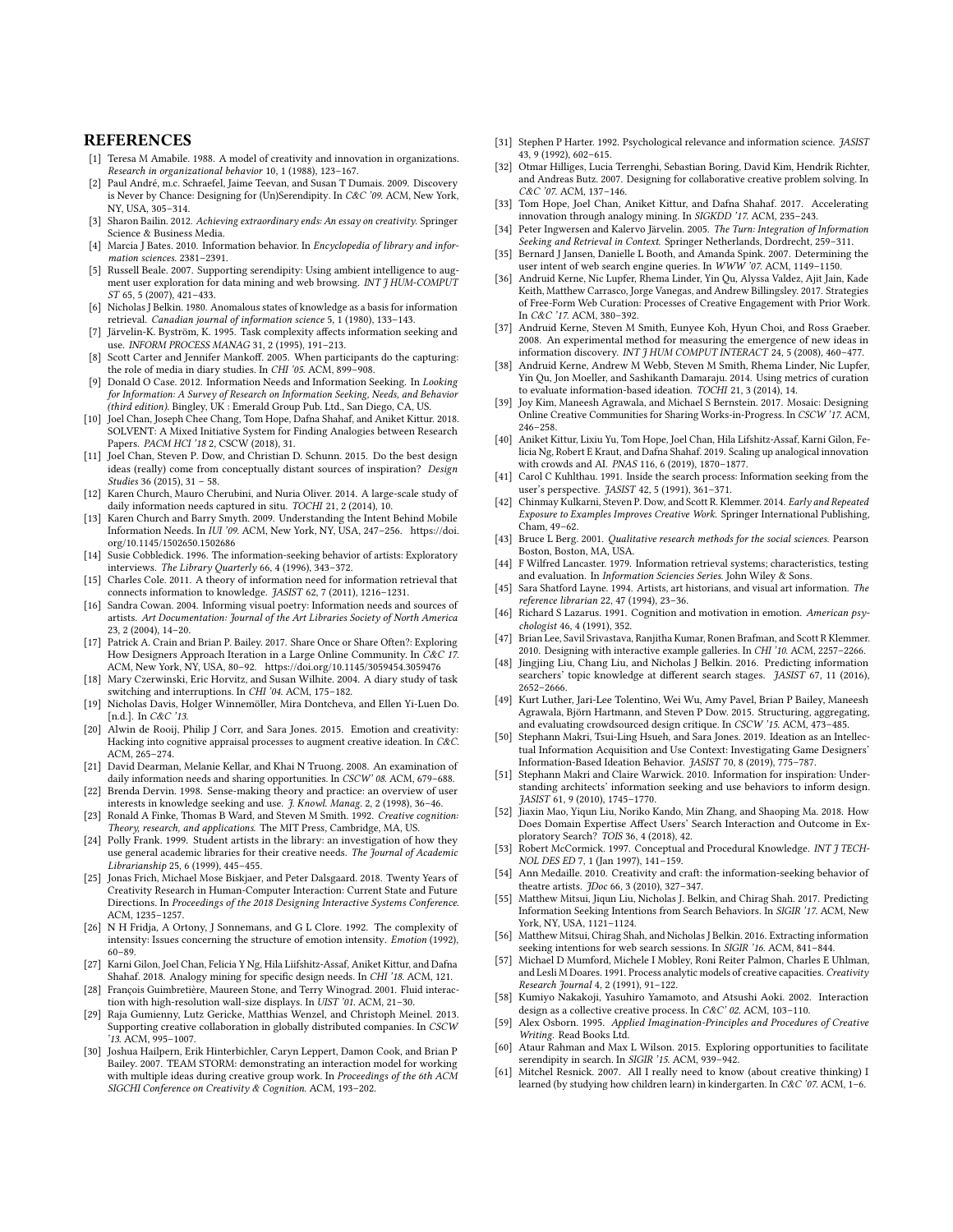## **REFERENCES**

- <span id="page-9-18"></span>[1] Teresa M Amabile. 1988. A model of creativity and innovation in organizations. Research in organizational behavior 10, 1 (1988), 123–167.
- <span id="page-9-14"></span>[2] Paul André, m.c. Schraefel, Jaime Teevan, and Susan T Dumais. 2009. Discovery is Never by Chance: Designing for (Un)Serendipity. In C&C '09. ACM, New York, NY, USA, 305–314.
- <span id="page-9-0"></span>[3] Sharon Bailin. 2012. Achieving extraordinary ends: An essay on creativity. Springer Science & Business Media.
- <span id="page-9-36"></span>[4] Marcia J Bates. 2010. Information behavior. In Encyclopedia of library and information sciences. 2381–2391.
- <span id="page-9-12"></span>[5] Russell Beale. 2007. Supporting serendipity: Using ambient intelligence to augment user exploration for data mining and web browsing. INT J HUM-COMPUT ST 65, 5 (2007), 421–433.
- <span id="page-9-21"></span>[6] Nicholas J Belkin. 1980. Anomalous states of knowledge as a basis for information retrieval. Canadian journal of information science 5, 1 (1980), 133–143.
- <span id="page-9-53"></span>[7] Järvelin-K. Byström, K. 1995. Task complexity affects information seeking and use. INFORM PROCESS MANAG 31, 2 (1995), 191–213.
- <span id="page-9-40"></span>[8] Scott Carter and Jennifer Mankoff. 2005. When participants do the capturing: the role of media in diary studies. In CHI '05. ACM, 899–908.
- <span id="page-9-17"></span>[9] Donald O Case. 2012. Information Needs and Information Seeking. In Looking for Information: A Survey of Research on Information Seeking, Needs, and Behavior (third edition). Bingley, UK : Emerald Group Pub. Ltd., San Diego, CA, US.
- <span id="page-9-56"></span>[10] Joel Chan, Joseph Chee Chang, Tom Hope, Dafna Shahaf, and Aniket Kittur. 2018. SOLVENT: A Mixed Initiative System for Finding Analogies between Research Papers. PACM HCI '18 2, CSCW (2018), 31.
- <span id="page-9-48"></span>[11] Joel Chan, Steven P. Dow, and Christian D. Schunn. 2015. Do the best design ideas (really) come from conceptually distant sources of inspiration? Design Studies 36 (2015), 31 – 58.
- <span id="page-9-31"></span>[12] Karen Church, Mauro Cherubini, and Nuria Oliver. 2014. A large-scale study of daily information needs captured in situ. TOCHI 21, 2 (2014), 10.
- <span id="page-9-30"></span>[13] Karen Church and Barry Smyth. 2009. Understanding the Intent Behind Mobile Information Needs. In IUI '09. ACM, New York, NY, USA, 247-256. [https://doi.](https://doi.org/10.1145/1502650.1502686) [org/10.1145/1502650.1502686](https://doi.org/10.1145/1502650.1502686)
- <span id="page-9-26"></span>[14] Susie Cobbledick. 1996. The information-seeking behavior of artists: Exploratory interviews. The Library Quarterly 66, 4 (1996), 343–372.
- <span id="page-9-25"></span>[15] Charles Cole. 2011. A theory of information need for information retrieval that connects information to knowledge. JASIST 62, 7 (2011), 1216–1231.
- <span id="page-9-27"></span>[16] Sandra Cowan. 2004. Informing visual poetry: Information needs and sources of artists. Art Documentation: Journal of the Art Libraries Society of North America 23, 2 (2004), 14–20.
- <span id="page-9-49"></span>[17] Patrick A. Crain and Brian P. Bailey. 2017. Share Once or Share Often?: Exploring How Designers Approach Iteration in a Large Online Community. In C&C 17. ACM, New York, NY, USA, 80–92.<https://doi.org/10.1145/3059454.3059476>
- <span id="page-9-41"></span>[18] Mary Czerwinski, Eric Horvitz, and Susan Wilhite. 2004. A diary study of task switching and interruptions. In CHI '04. ACM, 175–182.
- <span id="page-9-1"></span>[19] Nicholas Davis, Holger Winnemöller, Mira Dontcheva, and Ellen Yi-Luen Do. [n.d.]. In C&C '13.
- <span id="page-9-2"></span>[20] Alwin de Rooij, Philip J Corr, and Sara Jones. 2015. Emotion and creativity: Hacking into cognitive appraisal processes to augment creative ideation. In  $C\&C$ ACM, 265–274.
- <span id="page-9-32"></span>[21] David Dearman, Melanie Kellar, and Khai N Truong. 2008. An examination of daily information needs and sharing opportunities. In CSCW' 08. ACM, 679-688.
- <span id="page-9-23"></span>[22] Brenda Dervin. 1998. Sense-making theory and practice: an overview of user interests in knowledge seeking and use. J. Knowl. Manag. 2, 2 (1998), 36–46
- <span id="page-9-19"></span>[23] Ronald A Finke, Thomas B Ward, and Steven M Smith. 1992. Creative cognition: Theory, research, and applications. The MIT Press, Cambridge, MA, US.
- <span id="page-9-28"></span>[24] Polly Frank. 1999. Student artists in the library: an investigation of how they use general academic libraries for their creative needs. The Journal of Academic Librarianship 25, 6 (1999), 445–455.
- <span id="page-9-11"></span>[25] Jonas Frich, Michael Mose Biskjaer, and Peter Dalsgaard. 2018. Twenty Years of Creativity Research in Human-Computer Interaction: Current State and Future Directions. In Proceedings of the 2018 Designing Interactive Systems Conference. ACM, 1235–1257.
- <span id="page-9-50"></span>[26] N H Fridja, A Ortony, J Sonnemans, and G L Clore. 1992. The complexity of intensity: Issues concerning the structure of emotion intensity. Emotion (1992), 60–89.
- <span id="page-9-57"></span>[27] Karni Gilon, Joel Chan, Felicia Y Ng, Hila Liifshitz-Assaf, Aniket Kittur, and Dafna Shahaf. 2018. Analogy mining for specific design needs. In CHI '18. ACM, 121.
- <span id="page-9-3"></span>[28] François Guimbretière, Maureen Stone, and Terry Winograd. 2001. Fluid interaction with high-resolution wall-size displays. In UIST '01. ACM, 21–30.
- [29] Raja Gumienny, Lutz Gericke, Matthias Wenzel, and Christoph Meinel. 2013. Supporting creative collaboration in globally distributed companies. In CSCW '13. ACM, 995–1007.
- <span id="page-9-4"></span>[30] Joshua Hailpern, Erik Hinterbichler, Caryn Leppert, Damon Cook, and Brian P Bailey. 2007. TEAM STORM: demonstrating an interaction model for working with multiple ideas during creative group work. In Proceedings of the 6th ACM SIGCHI Conference on Creativity & Cognition. ACM, 193–202.
- <span id="page-9-54"></span>[31] Stephen P Harter. 1992. Psychological relevance and information science. JASIST 43, 9 (1992), 602–615.
- <span id="page-9-5"></span>[32] Otmar Hilliges, Lucia Terrenghi, Sebastian Boring, David Kim, Hendrik Richter, and Andreas Butz. 2007. Designing for collaborative creative problem solving. In C&C '07. ACM, 137–146.
- <span id="page-9-58"></span>[33] Tom Hope, Joel Chan, Aniket Kittur, and Dafna Shahaf. 2017. Accelerating innovation through analogy mining. In SIGKDD '17. ACM, 235–243.
- <span id="page-9-24"></span>[34] Peter Ingwersen and Kalervo Järvelin. 2005. The Turn: Integration of Information Seeking and Retrieval in Context. Springer Netherlands, Dordrecht, 259–311.
- <span id="page-9-33"></span>[35] Bernard J Jansen, Danielle L Booth, and Amanda Spink. 2007. Determining the user intent of web search engine queries. In WWW '07. ACM, 1149-1150.
- <span id="page-9-6"></span>[36] Andruid Kerne, Nic Lupfer, Rhema Linder, Yin Qu, Alyssa Valdez, Ajit Jain, Kade Keith, Matthew Carrasco, Jorge Vanegas, and Andrew Billingsley. 2017. Strategies of Free-Form Web Curation: Processes of Creative Engagement with Prior Work. In C&C '17. ACM, 380–392.
- <span id="page-9-37"></span>[37] Andruid Kerne, Steven M Smith, Eunyee Koh, Hyun Choi, and Ross Graeber. 2008. An experimental method for measuring the emergence of new ideas in information discovery. INT J HUM COMPUT INTERACT 24, 5 (2008), 460–477.
- <span id="page-9-38"></span>[38] Andruid Kerne, Andrew M Webb, Steven M Smith, Rhema Linder, Nic Lupfer, Yin Qu, Jon Moeller, and Sashikanth Damaraju. 2014. Using metrics of curation to evaluate information-based ideation. TOCHI 21, 3 (2014), 14.
- <span id="page-9-7"></span>[39] Joy Kim, Maneesh Agrawala, and Michael S Bernstein. 2017. Mosaic: Designing Online Creative Communities for Sharing Works-in-Progress. In CSCW '17. ACM, 246–258.
- <span id="page-9-59"></span>[40] Aniket Kittur, Lixiu Yu, Tom Hope, Joel Chan, Hila Lifshitz-Assaf, Karni Gilon, Felicia Ng, Robert E Kraut, and Dafna Shahaf. 2019. Scaling up analogical innovation with crowds and AI. PNAS 116, 6 (2019), 1870–1877.
- <span id="page-9-22"></span>[41] Carol C Kuhlthau. 1991. Inside the search process: Information seeking from the user's perspective. JASIST 42, 5 (1991), 361–371.
- <span id="page-9-46"></span>[42] Chinmay Kulkarni, Steven P. Dow, and Scott R. Klemmer. 2014. Early and Repeated Exposure to Examples Improves Creative Work. Springer International Publishing, Cham, 49–62.
- <span id="page-9-42"></span>[43] Bruce L Berg. 2001. Qualitative research methods for the social sciences. Pearson Boston, Boston, MA, USA.
- <span id="page-9-55"></span>[44] F Wilfred Lancaster, 1979. Information retrieval systems; characteristics, testing and evaluation. In *Information Sciencies Series*, John Wiley & Sons.
- <span id="page-9-29"></span>[45] Sara Shatford Layne. 1994. Artists, art historians, and visual art information. The reference librarian 22, 47 (1994), 23–36.
- <span id="page-9-51"></span>[46] Richard S Lazarus. 1991. Cognition and motivation in emotion. American psychologist 46, 4 (1991), 352.
- <span id="page-9-47"></span>[47] Brian Lee, Savil Srivastava, Ranjitha Kumar, Ronen Brafman, and Scott R Klemmer. 2010. Designing with interactive example galleries. In CHI '10. ACM, 2257–2266.
- <span id="page-9-44"></span>[48] Jingjing Liu, Chang Liu, and Nicholas J Belkin. 2016. Predicting information searchers' topic knowledge at different search stages. JASIST 67, 11 (2016), 2652–2666.
- <span id="page-9-8"></span>[49] Kurt Luther, Jari-Lee Tolentino, Wei Wu, Amy Pavel, Brian P Bailey, Maneesh Agrawala, Björn Hartmann, and Steven P Dow. 2015. Structuring, aggregating, and evaluating crowdsourced design critique. In CSCW '15. ACM, 473–485.
- <span id="page-9-15"></span>[50] Stephann Makri, Tsui-Ling Hsueh, and Sara Jones. 2019. Ideation as an Intellectual Information Acquisition and Use Context: Investigating Game Designers' Information-Based Ideation Behavior. JASIST 70, 8 (2019), 775–787.
- <span id="page-9-16"></span>[51] Stephann Makri and Claire Warwick. 2010. Information for inspiration: Understanding architects' information seeking and use behaviors to inform design. JASIST 61, 9 (2010), 1745–1770.
- <span id="page-9-45"></span>[52] Jiaxin Mao, Yiqun Liu, Noriko Kando, Min Zhang, and Shaoping Ma. 2018. How Does Domain Expertise Affect Users' Search Interaction and Outcome in Exploratory Search? TOIS 36, 4 (2018), 42.
- <span id="page-9-43"></span>[53] Robert McCormick. 1997. Conceptual and Procedural Knowledge. INT J TECH-NOL DES ED 7, 1 (Jan 1997), 141–159.
- <span id="page-9-39"></span>Ann Medaille. 2010. Creativity and craft: the information-seeking behavior of theatre artists. JDoc 66, 3 (2010), 327–347.
- <span id="page-9-34"></span>[55] Matthew Mitsui, Jiqun Liu, Nicholas J. Belkin, and Chirag Shah. 2017. Predicting Information Seeking Intentions from Search Behaviors. In SIGIR '17. ACM, New York, NY, USA, 1121–1124.
- <span id="page-9-35"></span>[56] Matthew Mitsui, Chirag Shah, and Nicholas J Belkin. 2016. Extracting information seeking intentions for web search sessions. In SIGIR '16. ACM, 841–844.
- <span id="page-9-20"></span>[57] Michael D Mumford, Michele I Mobley, Roni Reiter Palmon, Charles E Uhlman, and Lesli M Doares. 1991. Process analytic models of creative capacities. Creativity Research Journal 4, 2 (1991), 91–122.
- <span id="page-9-9"></span>[58] Kumiyo Nakakoji, Yasuhiro Yamamoto, and Atsushi Aoki. 2002. Interaction design as a collective creative process. In C&C' 02. ACM, 103–110.
- <span id="page-9-52"></span>[59] Alex Osborn. 1995. Applied Imagination-Principles and Procedures of Creative Writing. Read Books Ltd.
- <span id="page-9-13"></span>[60] Ataur Rahman and Max L Wilson. 2015. Exploring opportunities to facilitate serendipity in search. In SIGIR '15. ACM, 939–942.
- <span id="page-9-10"></span>[61] Mitchel Resnick. 2007. All I really need to know (about creative thinking) I learned (by studying how children learn) in kindergarten. In C&C '07. ACM, 1–6.